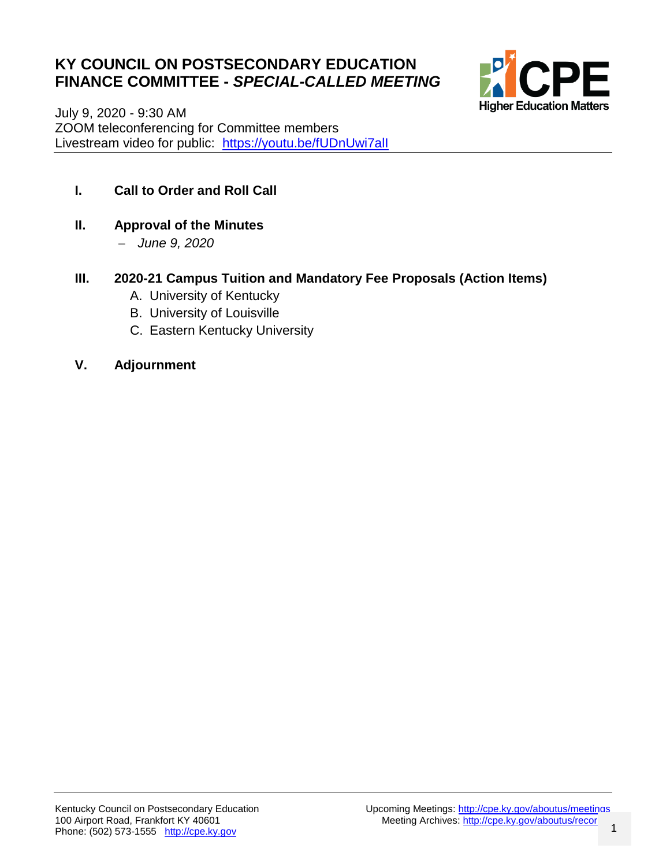### **KY COUNCIL ON POSTSECONDARY EDUCATION FINANCE COMMITTEE -** *SPECIAL-CALLED MEETING*



July 9, 2020 - 9:30 AM ZOOM teleconferencing for Committee members Livestream video for public: https://youtu.be/fUDnUwi7all

- **I. Call to Order and Roll Call**
- **II. Approval of the Minutes**
	- *June 9, 2020*
- **III. 2020-21 Campus Tuition and Mandatory Fee Proposals (Action Items)**
	- A. University of Kentucky
	- B. University of Louisville
	- C. Eastern Kentucky University
- **V. Adjournment**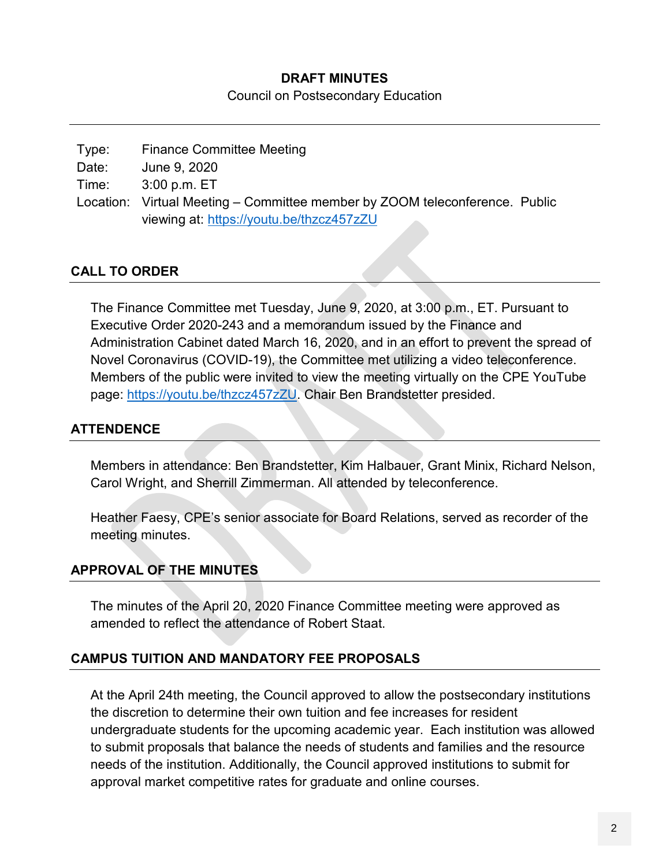#### **DRAFT MINUTES**

Council on Postsecondary Education

| Type: | <b>Finance Committee Meeting</b>                                            |  |
|-------|-----------------------------------------------------------------------------|--|
| Date: | June 9, 2020                                                                |  |
| Time: | $3:00$ p.m. $ET$                                                            |  |
|       | Location: Virtual Meeting – Committee member by ZOOM teleconference. Public |  |
|       | viewing at: https://youtu.be/thzcz457zZU                                    |  |
|       |                                                                             |  |

#### **CALL TO ORDER**

The Finance Committee met Tuesday, June 9, 2020, at 3:00 p.m., ET. Pursuant to Executive Order 2020-243 and a memorandum issued by the Finance and Administration Cabinet dated March 16, 2020, and in an effort to prevent the spread of Novel Coronavirus (COVID-19), the Committee met utilizing a video teleconference. Members of the public were invited to view the meeting virtually on the CPE YouTube page: [https://youtu.be/thzcz457zZU.](https://youtu.be/thzcz457zZU) Chair Ben Brandstetter presided.

### **ATTENDENCE**

Members in attendance: Ben Brandstetter, Kim Halbauer, Grant Minix, Richard Nelson, Carol Wright, and Sherrill Zimmerman. All attended by teleconference.

Heather Faesy, CPE's senior associate for Board Relations, served as recorder of the meeting minutes.

#### **APPROVAL OF THE MINUTES**

The minutes of the April 20, 2020 Finance Committee meeting were approved as amended to reflect the attendance of Robert Staat.

#### **CAMPUS TUITION AND MANDATORY FEE PROPOSALS**

At the April 24th meeting, the Council approved to allow the postsecondary institutions the discretion to determine their own tuition and fee increases for resident undergraduate students for the upcoming academic year. Each institution was allowed to submit proposals that balance the needs of students and families and the resource needs of the institution. Additionally, the Council approved institutions to submit for approval market competitive rates for graduate and online courses.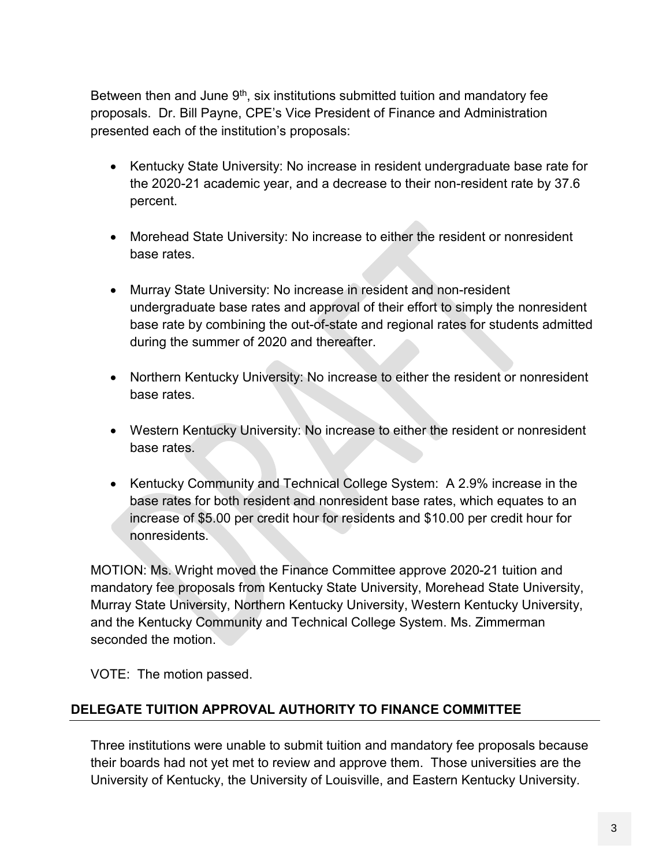Between then and June  $9<sup>th</sup>$ , six institutions submitted tuition and mandatory fee proposals. Dr. Bill Payne, CPE's Vice President of Finance and Administration presented each of the institution's proposals:

- Kentucky State University: No increase in resident undergraduate base rate for the 2020-21 academic year, and a decrease to their non-resident rate by 37.6 percent.
- Morehead State University: No increase to either the resident or nonresident base rates.
- Murray State University: No increase in resident and non-resident undergraduate base rates and approval of their effort to simply the nonresident base rate by combining the out-of-state and regional rates for students admitted during the summer of 2020 and thereafter.
- Northern Kentucky University: No increase to either the resident or nonresident base rates.
- Western Kentucky University: No increase to either the resident or nonresident base rates.
- Kentucky Community and Technical College System: A 2.9% increase in the base rates for both resident and nonresident base rates, which equates to an increase of \$5.00 per credit hour for residents and \$10.00 per credit hour for nonresidents.

MOTION: Ms. Wright moved the Finance Committee approve 2020-21 tuition and mandatory fee proposals from Kentucky State University, Morehead State University, Murray State University, Northern Kentucky University, Western Kentucky University, and the Kentucky Community and Technical College System. Ms. Zimmerman seconded the motion.

VOTE: The motion passed.

### **DELEGATE TUITION APPROVAL AUTHORITY TO FINANCE COMMITTEE**

Three institutions were unable to submit tuition and mandatory fee proposals because their boards had not yet met to review and approve them. Those universities are the University of Kentucky, the University of Louisville, and Eastern Kentucky University.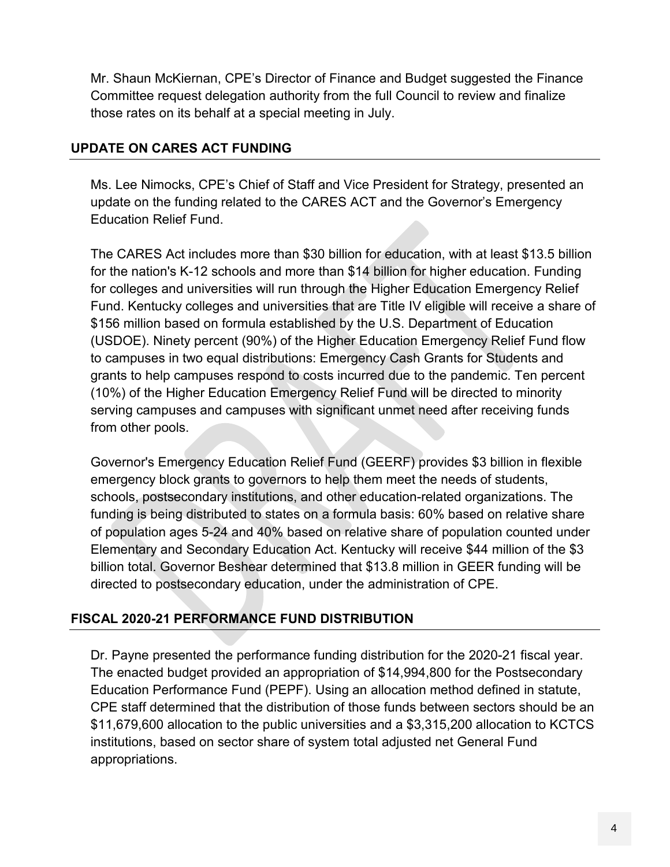Mr. Shaun McKiernan, CPE's Director of Finance and Budget suggested the Finance Committee request delegation authority from the full Council to review and finalize those rates on its behalf at a special meeting in July.

#### **UPDATE ON CARES ACT FUNDING**

Ms. Lee Nimocks, CPE's Chief of Staff and Vice President for Strategy, presented an update on the funding related to the CARES ACT and the Governor's Emergency Education Relief Fund.

The CARES Act includes more than \$30 billion for education, with at least \$13.5 billion for the nation's K-12 schools and more than \$14 billion for higher education. Funding for colleges and universities will run through the Higher Education Emergency Relief Fund. Kentucky colleges and universities that are Title IV eligible will receive a share of \$156 million based on formula established by the U.S. Department of Education (USDOE). Ninety percent (90%) of the Higher Education Emergency Relief Fund flow to campuses in two equal distributions: Emergency Cash Grants for Students and grants to help campuses respond to costs incurred due to the pandemic. Ten percent (10%) of the Higher Education Emergency Relief Fund will be directed to minority serving campuses and campuses with significant unmet need after receiving funds from other pools.

Governor's Emergency Education Relief Fund (GEERF) provides \$3 billion in flexible emergency block grants to governors to help them meet the needs of students, schools, postsecondary institutions, and other education-related organizations. The funding is being distributed to states on a formula basis: 60% based on relative share of population ages 5-24 and 40% based on relative share of population counted under Elementary and Secondary Education Act. Kentucky will receive \$44 million of the \$3 billion total. Governor Beshear determined that \$13.8 million in GEER funding will be directed to postsecondary education, under the administration of CPE.

### **FISCAL 2020-21 PERFORMANCE FUND DISTRIBUTION**

Dr. Payne presented the performance funding distribution for the 2020-21 fiscal year. The enacted budget provided an appropriation of \$14,994,800 for the Postsecondary Education Performance Fund (PEPF). Using an allocation method defined in statute, CPE staff determined that the distribution of those funds between sectors should be an \$11,679,600 allocation to the public universities and a \$3,315,200 allocation to KCTCS institutions, based on sector share of system total adjusted net General Fund appropriations.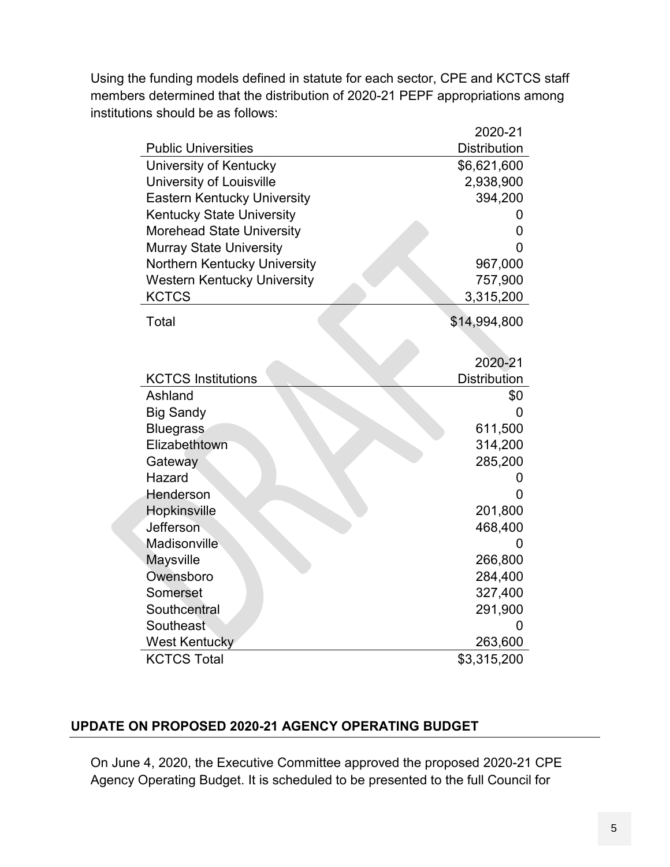Using the funding models defined in statute for each sector, CPE and KCTCS staff members determined that the distribution of 2020-21 PEPF appropriations among institutions should be as follows:

|                                    | 2020-21             |
|------------------------------------|---------------------|
| <b>Public Universities</b>         | <b>Distribution</b> |
| University of Kentucky             | \$6,621,600         |
| University of Louisville           | 2,938,900           |
| <b>Eastern Kentucky University</b> | 394,200             |
| <b>Kentucky State University</b>   | 0                   |
| <b>Morehead State University</b>   | 0                   |
| <b>Murray State University</b>     | 0                   |
| Northern Kentucky University       | 967,000             |
| <b>Western Kentucky University</b> | 757,900             |
| <b>KCTCS</b>                       | 3,315,200           |
| Total                              | \$14,994,800        |
|                                    |                     |
|                                    | 2020-21             |
| <b>KCTCS Institutions</b>          | <b>Distribution</b> |
| Ashland                            | \$0                 |
| <b>Big Sandy</b>                   | 0                   |
| <b>Bluegrass</b>                   | 611,500             |
| Elizabethtown                      | 314,200             |
| Gateway                            | 285,200             |
| Hazard                             | 0                   |
| Henderson                          | 0                   |
| Hopkinsville                       | 201,800             |
| Jefferson                          | 468,400             |
| Madisonville                       | 0                   |
| <b>Maysville</b>                   | 266,800             |
| Owensboro                          | 284,400             |
| Somerset                           | 327,400             |
| Southcentral                       | 291,900             |
| Southeast                          | 0                   |
| <b>West Kentucky</b>               | 263,600             |
| <b>KCTCS Total</b>                 | \$3,315,200         |

#### **UPDATE ON PROPOSED 2020-21 AGENCY OPERATING BUDGET**

On June 4, 2020, the Executive Committee approved the proposed 2020-21 CPE Agency Operating Budget. It is scheduled to be presented to the full Council for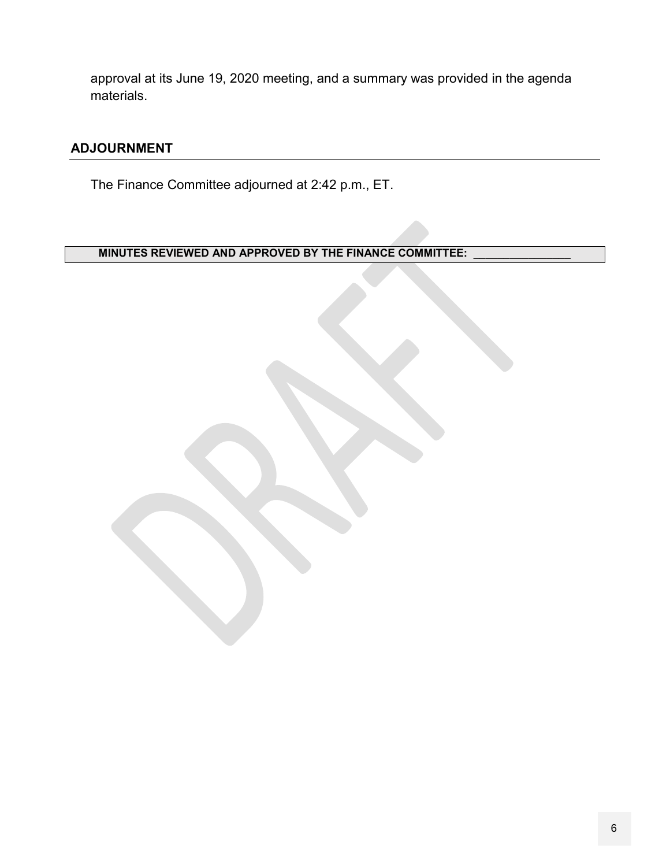approval at its June 19, 2020 meeting, and a summary was provided in the agenda materials.

#### **ADJOURNMENT**

The Finance Committee adjourned at 2:42 p.m., ET.

**MINUTES REVIEWED AND APPROVED BY THE FINANCE COMMITTEE:**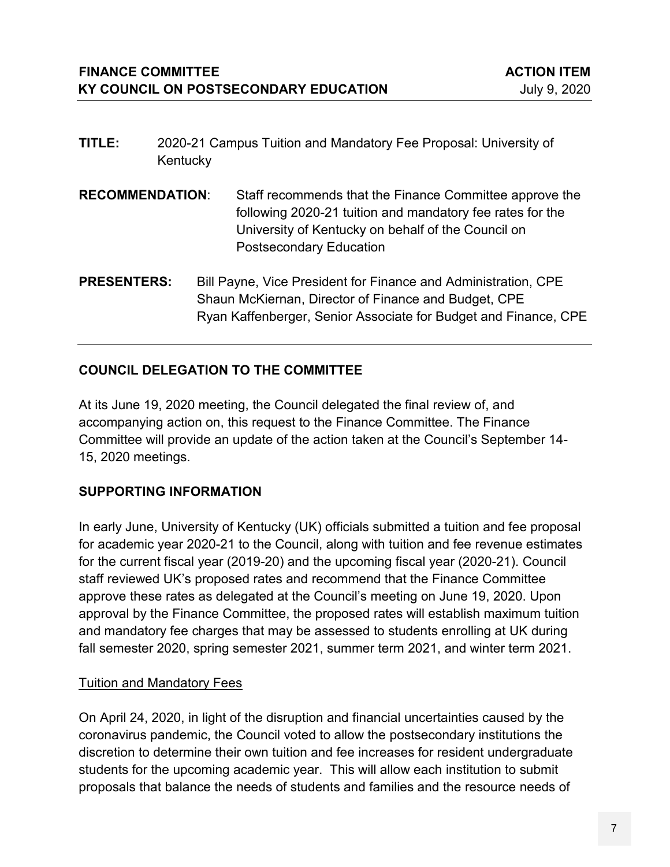- **TITLE:** 2020-21 Campus Tuition and Mandatory Fee Proposal: University of Kentucky
- **RECOMMENDATION**: Staff recommends that the Finance Committee approve the following 2020-21 tuition and mandatory fee rates for the University of Kentucky on behalf of the Council on Postsecondary Education
- **PRESENTERS:** Bill Payne, Vice President for Finance and Administration, CPE Shaun McKiernan, Director of Finance and Budget, CPE Ryan Kaffenberger, Senior Associate for Budget and Finance, CPE

### **COUNCIL DELEGATION TO THE COMMITTEE**

At its June 19, 2020 meeting, the Council delegated the final review of, and accompanying action on, this request to the Finance Committee. The Finance Committee will provide an update of the action taken at the Council's September 14- 15, 2020 meetings.

#### **SUPPORTING INFORMATION**

In early June, University of Kentucky (UK) officials submitted a tuition and fee proposal for academic year 2020-21 to the Council, along with tuition and fee revenue estimates for the current fiscal year (2019-20) and the upcoming fiscal year (2020-21). Council staff reviewed UK's proposed rates and recommend that the Finance Committee approve these rates as delegated at the Council's meeting on June 19, 2020. Upon approval by the Finance Committee, the proposed rates will establish maximum tuition and mandatory fee charges that may be assessed to students enrolling at UK during fall semester 2020, spring semester 2021, summer term 2021, and winter term 2021.

#### Tuition and Mandatory Fees

On April 24, 2020, in light of the disruption and financial uncertainties caused by the coronavirus pandemic, the Council voted to allow the postsecondary institutions the discretion to determine their own tuition and fee increases for resident undergraduate students for the upcoming academic year. This will allow each institution to submit proposals that balance the needs of students and families and the resource needs of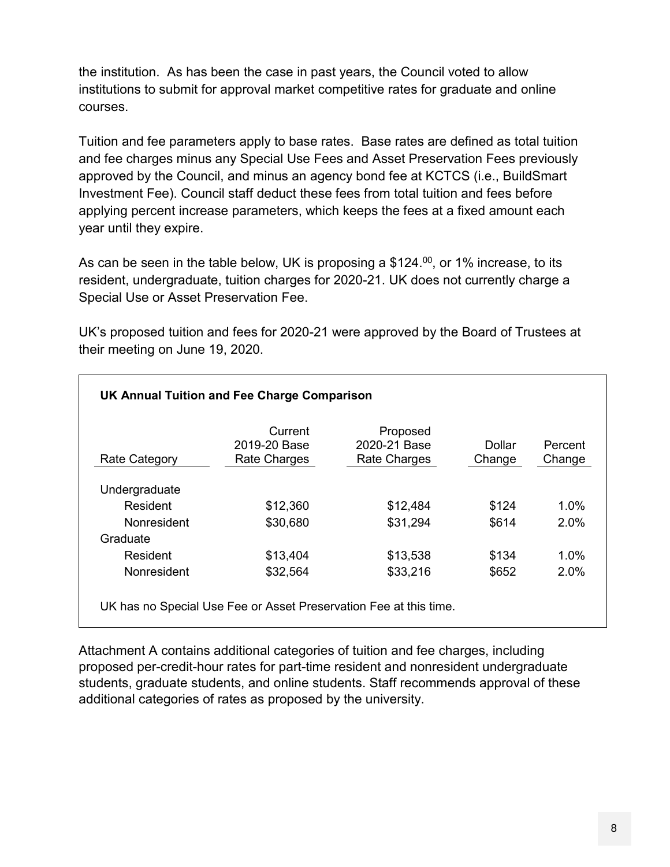the institution. As has been the case in past years, the Council voted to allow institutions to submit for approval market competitive rates for graduate and online courses.

Tuition and fee parameters apply to base rates. Base rates are defined as total tuition and fee charges minus any Special Use Fees and Asset Preservation Fees previously approved by the Council, and minus an agency bond fee at KCTCS (i.e., BuildSmart Investment Fee). Council staff deduct these fees from total tuition and fees before applying percent increase parameters, which keeps the fees at a fixed amount each year until they expire.

As can be seen in the table below, UK is proposing a \$124.<sup>00</sup>, or 1% increase, to its resident, undergraduate, tuition charges for 2020-21. UK does not currently charge a Special Use or Asset Preservation Fee.

UK's proposed tuition and fees for 2020-21 were approved by the Board of Trustees at their meeting on June 19, 2020.

| <b>Rate Category</b> | Current<br>2019-20 Base<br>Rate Charges | Proposed<br>2020-21 Base<br>Rate Charges | Dollar<br>Change | Percent<br>Change |
|----------------------|-----------------------------------------|------------------------------------------|------------------|-------------------|
| Undergraduate        |                                         |                                          |                  |                   |
| Resident             | \$12,360                                | \$12,484                                 | \$124            | $1.0\%$           |
| <b>Nonresident</b>   | \$30,680                                | \$31,294                                 | \$614            | $2.0\%$           |
| Graduate             |                                         |                                          |                  |                   |
| Resident             | \$13,404                                | \$13,538                                 | \$134            | $1.0\%$           |
| Nonresident          | \$32,564                                | \$33,216                                 | \$652            | 2.0%              |

Attachment A contains additional categories of tuition and fee charges, including proposed per-credit-hour rates for part-time resident and nonresident undergraduate students, graduate students, and online students. Staff recommends approval of these additional categories of rates as proposed by the university.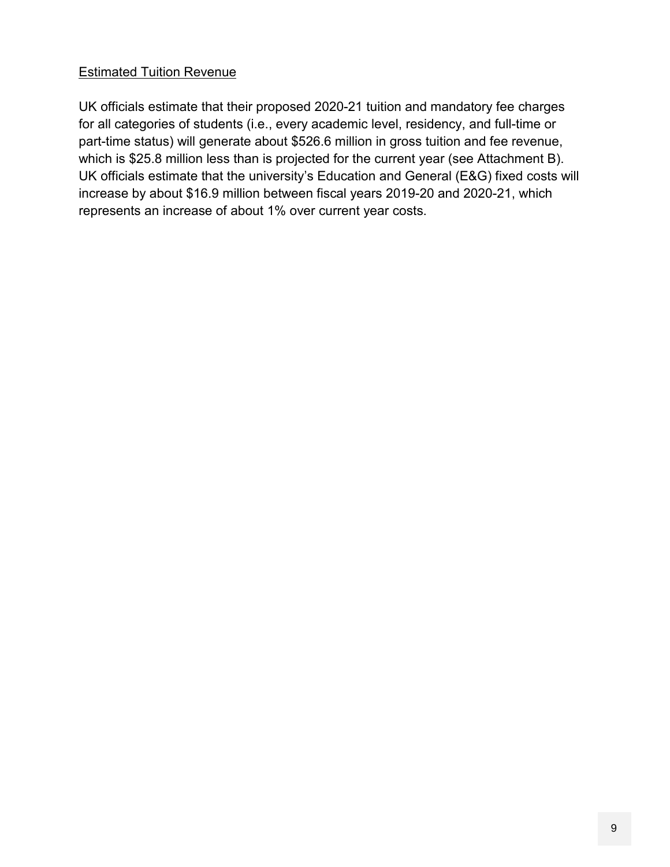#### Estimated Tuition Revenue

UK officials estimate that their proposed 2020-21 tuition and mandatory fee charges for all categories of students (i.e., every academic level, residency, and full-time or part-time status) will generate about \$526.6 million in gross tuition and fee revenue, which is \$25.8 million less than is projected for the current year (see Attachment B). UK officials estimate that the university's Education and General (E&G) fixed costs will increase by about \$16.9 million between fiscal years 2019-20 and 2020-21, which represents an increase of about 1% over current year costs.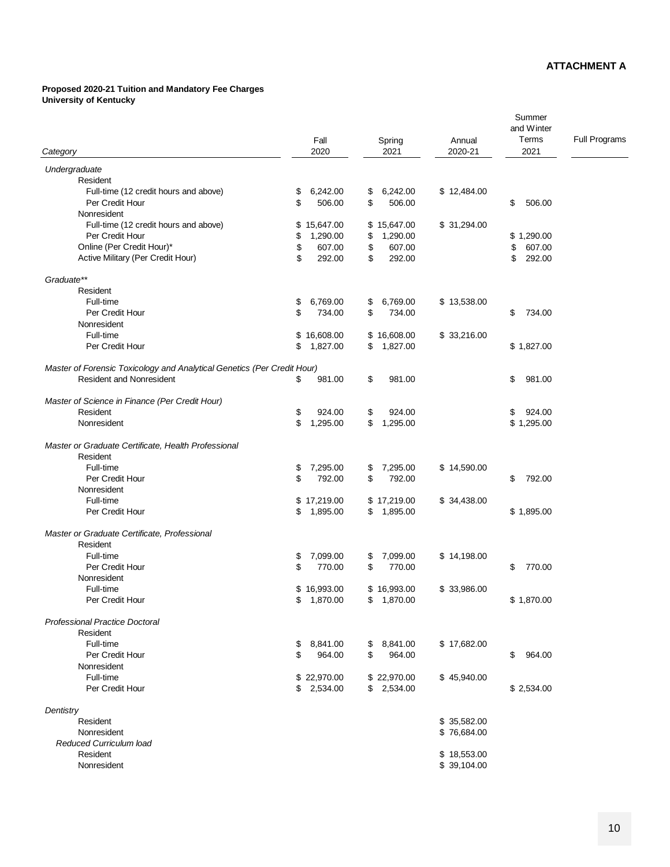#### **Proposed 2020-21 Tuition and Mandatory Fee Charges University of Kentucky**

|                                                                         | Fall           | Spring         | Annual       | Summer<br>and Winter<br>Terms | <b>Full Programs</b> |
|-------------------------------------------------------------------------|----------------|----------------|--------------|-------------------------------|----------------------|
| Category                                                                | 2020           | 2021           | 2020-21      | 2021                          |                      |
| Undergraduate                                                           |                |                |              |                               |                      |
| Resident                                                                |                |                |              |                               |                      |
| Full-time (12 credit hours and above)                                   | \$<br>6,242.00 | 6,242.00<br>\$ | \$12,484.00  |                               |                      |
| Per Credit Hour                                                         | 506.00<br>\$   | \$<br>506.00   |              | \$<br>506.00                  |                      |
| Nonresident                                                             |                |                |              |                               |                      |
| Full-time (12 credit hours and above)                                   | \$15,647.00    | \$15,647.00    | \$31,294.00  |                               |                      |
| Per Credit Hour                                                         | 1,290.00<br>\$ | 1,290.00<br>\$ |              | \$1,290.00                    |                      |
| Online (Per Credit Hour)*                                               | 607.00<br>\$   | \$<br>607.00   |              | \$<br>607.00                  |                      |
| Active Military (Per Credit Hour)                                       | \$<br>292.00   | \$<br>292.00   |              | \$<br>292.00                  |                      |
| Graduate**                                                              |                |                |              |                               |                      |
| Resident                                                                |                |                |              |                               |                      |
| Full-time                                                               | 6,769.00<br>\$ | 6,769.00<br>\$ | \$13,538.00  |                               |                      |
| Per Credit Hour                                                         | \$<br>734.00   | \$<br>734.00   |              | \$<br>734.00                  |                      |
| Nonresident                                                             |                |                |              |                               |                      |
| Full-time                                                               | \$16,608.00    | \$16,608.00    | \$33,216.00  |                               |                      |
| Per Credit Hour                                                         | 1,827.00<br>\$ | 1,827.00<br>\$ |              | \$1,827.00                    |                      |
| Master of Forensic Toxicology and Analytical Genetics (Per Credit Hour) |                |                |              |                               |                      |
| <b>Resident and Nonresident</b>                                         | \$<br>981.00   | \$<br>981.00   |              | \$<br>981.00                  |                      |
| Master of Science in Finance (Per Credit Hour)                          |                |                |              |                               |                      |
| Resident                                                                | \$<br>924.00   | 924.00<br>\$   |              | 924.00<br>\$                  |                      |
| Nonresident                                                             | \$<br>1,295.00 | \$<br>1,295.00 |              | \$1,295.00                    |                      |
| Master or Graduate Certificate, Health Professional                     |                |                |              |                               |                      |
| Resident                                                                |                |                |              |                               |                      |
| Full-time                                                               | \$<br>7,295.00 | 7,295.00<br>\$ | \$14,590.00  |                               |                      |
| Per Credit Hour                                                         | \$<br>792.00   | \$<br>792.00   |              | \$<br>792.00                  |                      |
| Nonresident                                                             |                |                |              |                               |                      |
| Full-time                                                               | \$17,219.00    | \$17,219.00    | \$ 34,438.00 |                               |                      |
| Per Credit Hour                                                         | 1,895.00<br>\$ | \$<br>1,895.00 |              | \$1,895.00                    |                      |
| Master or Graduate Certificate, Professional                            |                |                |              |                               |                      |
| Resident                                                                |                |                |              |                               |                      |
| Full-time                                                               | 7,099.00<br>\$ | \$<br>7,099.00 | \$14,198.00  |                               |                      |
| Per Credit Hour                                                         | 770.00<br>\$   | \$<br>770.00   |              | 770.00<br>\$                  |                      |
| Nonresident                                                             |                |                |              |                               |                      |
| Full-time                                                               | \$16,993.00    | \$16,993.00    | \$33,986.00  |                               |                      |
| Per Credit Hour                                                         | \$<br>1,870.00 | \$<br>1,870.00 |              | \$1,870.00                    |                      |
| <b>Professional Practice Doctoral</b>                                   |                |                |              |                               |                      |
| Resident                                                                |                |                |              |                               |                      |
| Full-time                                                               | \$<br>8,841.00 | \$8,841.00     | \$17,682.00  |                               |                      |
| Per Credit Hour                                                         | 964.00<br>\$   | \$<br>964.00   |              | \$<br>964.00                  |                      |
| Nonresident                                                             |                |                |              |                               |                      |
| Full-time                                                               | \$22,970.00    | \$22,970.00    | \$45,940.00  |                               |                      |
| Per Credit Hour                                                         | \$2,534.00     | \$2,534.00     |              | \$2,534.00                    |                      |
| Dentistry                                                               |                |                |              |                               |                      |
| Resident                                                                |                |                | \$35,582.00  |                               |                      |
| Nonresident                                                             |                |                | \$76,684.00  |                               |                      |
| Reduced Curriculum load                                                 |                |                |              |                               |                      |
| Resident                                                                |                |                | \$18,553.00  |                               |                      |
| Nonresident                                                             |                |                | \$39,104.00  |                               |                      |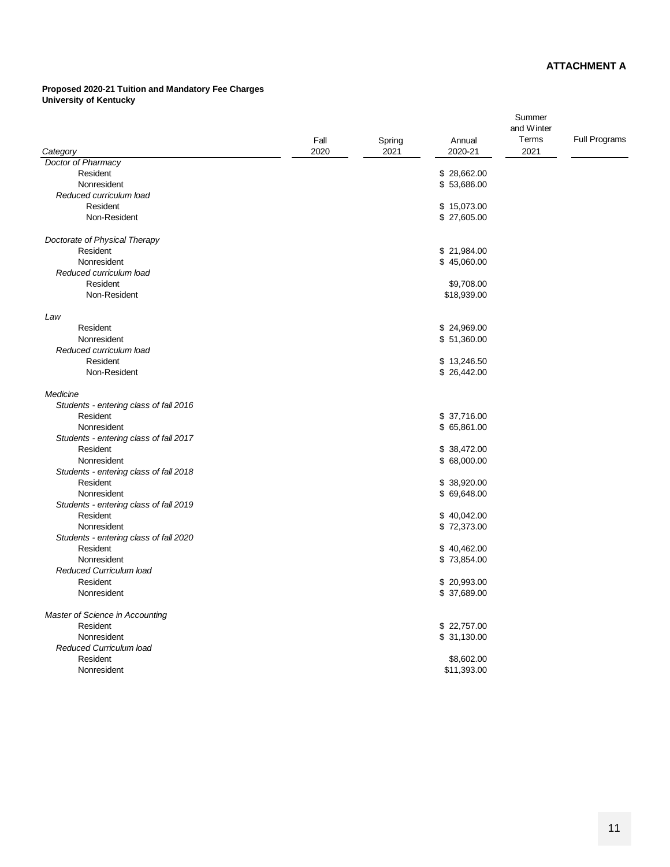#### **Proposed 2020-21 Tuition and Mandatory Fee Charges University of Kentucky**

|                                        |      |        |              | Summer     |                      |
|----------------------------------------|------|--------|--------------|------------|----------------------|
|                                        |      |        |              | and Winter |                      |
|                                        | Fall | Spring | Annual       | Terms      | <b>Full Programs</b> |
| Category                               | 2020 | 2021   | 2020-21      | 2021       |                      |
| Doctor of Pharmacy                     |      |        |              |            |                      |
| Resident                               |      |        | \$28,662.00  |            |                      |
| Nonresident                            |      |        | \$53,686.00  |            |                      |
| Reduced curriculum load                |      |        |              |            |                      |
| Resident                               |      |        | \$15,073.00  |            |                      |
| Non-Resident                           |      |        | \$ 27,605.00 |            |                      |
| Doctorate of Physical Therapy          |      |        |              |            |                      |
| Resident                               |      |        | \$21,984.00  |            |                      |
| Nonresident                            |      |        | \$45,060.00  |            |                      |
| Reduced curriculum load                |      |        |              |            |                      |
| Resident                               |      |        | \$9,708.00   |            |                      |
| Non-Resident                           |      |        | \$18,939.00  |            |                      |
| Law                                    |      |        |              |            |                      |
| Resident                               |      |        | \$24,969.00  |            |                      |
| Nonresident                            |      |        | \$51,360.00  |            |                      |
| Reduced curriculum load                |      |        |              |            |                      |
| Resident                               |      |        | \$13,246.50  |            |                      |
| Non-Resident                           |      |        | \$26,442.00  |            |                      |
| Medicine                               |      |        |              |            |                      |
| Students - entering class of fall 2016 |      |        |              |            |                      |
| Resident                               |      |        | \$ 37,716.00 |            |                      |
| Nonresident                            |      |        | \$65,861.00  |            |                      |
| Students - entering class of fall 2017 |      |        |              |            |                      |
| Resident                               |      |        | \$38,472.00  |            |                      |
| Nonresident                            |      |        | \$68,000.00  |            |                      |
| Students - entering class of fall 2018 |      |        |              |            |                      |
| Resident                               |      |        | \$38,920.00  |            |                      |
| Nonresident                            |      |        | \$69,648.00  |            |                      |
| Students - entering class of fall 2019 |      |        |              |            |                      |
| Resident                               |      |        | \$40,042.00  |            |                      |
| Nonresident                            |      |        | \$72,373.00  |            |                      |
| Students - entering class of fall 2020 |      |        |              |            |                      |
| Resident                               |      |        | \$40,462.00  |            |                      |
| Nonresident                            |      |        | \$73,854.00  |            |                      |
| <b>Reduced Curriculum load</b>         |      |        |              |            |                      |
| Resident                               |      |        | \$20,993.00  |            |                      |
| Nonresident                            |      |        | \$ 37,689.00 |            |                      |
| Master of Science in Accounting        |      |        |              |            |                      |
| Resident                               |      |        | \$22,757.00  |            |                      |
| Nonresident                            |      |        | \$31,130.00  |            |                      |
| <b>Reduced Curriculum load</b>         |      |        |              |            |                      |
| Resident                               |      |        | \$8,602.00   |            |                      |
| Nonresident                            |      |        | \$11,393.00  |            |                      |
|                                        |      |        |              |            |                      |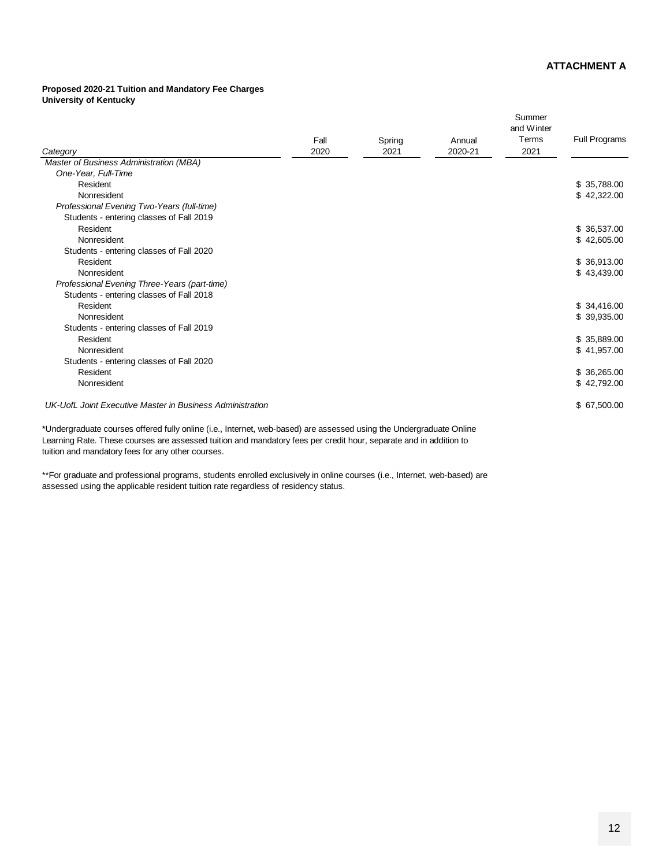#### **Proposed 2020-21 Tuition and Mandatory Fee Charges University of Kentucky**

|                                                           |      |        |         | Summer<br>and Winter |               |
|-----------------------------------------------------------|------|--------|---------|----------------------|---------------|
|                                                           | Fall | Spring | Annual  | Terms                | Full Programs |
| Category                                                  | 2020 | 2021   | 2020-21 | 2021                 |               |
| Master of Business Administration (MBA)                   |      |        |         |                      |               |
| One-Year, Full-Time                                       |      |        |         |                      |               |
| Resident                                                  |      |        |         |                      | \$35,788.00   |
| Nonresident                                               |      |        |         |                      | \$42,322.00   |
| Professional Evening Two-Years (full-time)                |      |        |         |                      |               |
| Students - entering classes of Fall 2019                  |      |        |         |                      |               |
| Resident                                                  |      |        |         |                      | \$36,537.00   |
| Nonresident                                               |      |        |         |                      | \$42,605.00   |
| Students - entering classes of Fall 2020                  |      |        |         |                      |               |
| Resident                                                  |      |        |         |                      | \$36,913.00   |
| Nonresident                                               |      |        |         |                      | \$43,439.00   |
| Professional Evening Three-Years (part-time)              |      |        |         |                      |               |
| Students - entering classes of Fall 2018                  |      |        |         |                      |               |
| Resident                                                  |      |        |         |                      | \$34,416.00   |
| Nonresident                                               |      |        |         |                      | \$39,935.00   |
| Students - entering classes of Fall 2019                  |      |        |         |                      |               |
| Resident                                                  |      |        |         |                      | \$35,889.00   |
| Nonresident                                               |      |        |         |                      | \$41,957.00   |
| Students - entering classes of Fall 2020                  |      |        |         |                      |               |
| Resident                                                  |      |        |         |                      | \$36,265.00   |
| Nonresident                                               |      |        |         |                      | \$42,792.00   |
| UK-UofL Joint Executive Master in Business Administration |      |        |         |                      | \$67,500.00   |

\*Undergraduate courses offered fully online (i.e., Internet, web-based) are assessed using the Undergraduate Online Learning Rate. These courses are assessed tuition and mandatory fees per credit hour, separate and in addition to tuition and mandatory fees for any other courses.

\*\*For graduate and professional programs, students enrolled exclusively in online courses (i.e., Internet, web-based) are assessed using the applicable resident tuition rate regardless of residency status.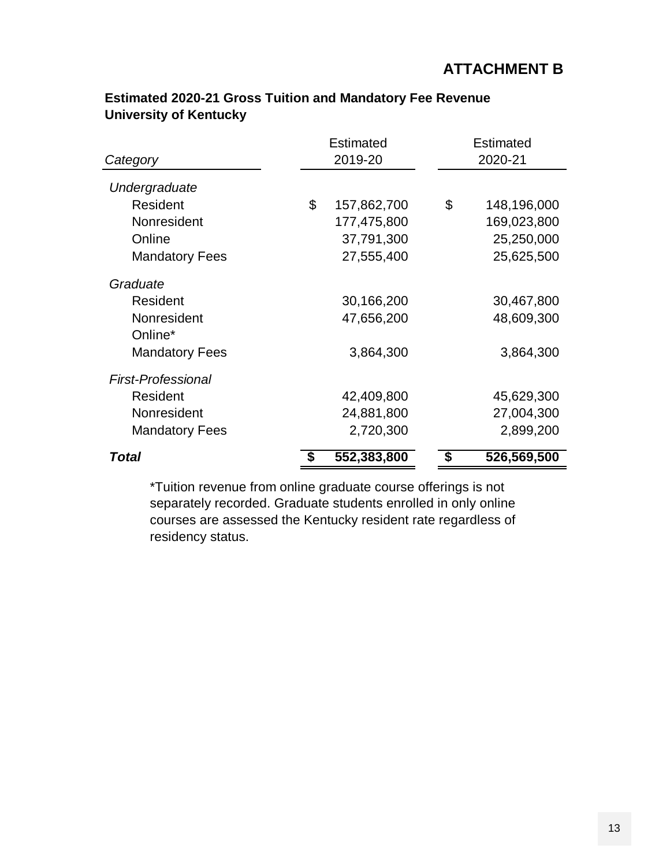|                           | Estimated         | Estimated         |
|---------------------------|-------------------|-------------------|
| Category                  | 2019-20           | 2020-21           |
| Undergraduate             |                   |                   |
| Resident                  | \$<br>157,862,700 | \$<br>148,196,000 |
| Nonresident               | 177,475,800       | 169,023,800       |
| Online                    | 37,791,300        | 25,250,000        |
| <b>Mandatory Fees</b>     | 27,555,400        | 25,625,500        |
| Graduate                  |                   |                   |
| Resident                  | 30,166,200        | 30,467,800        |
| Nonresident               | 47,656,200        | 48,609,300        |
| Online*                   |                   |                   |
| <b>Mandatory Fees</b>     | 3,864,300         | 3,864,300         |
| <b>First-Professional</b> |                   |                   |
| Resident                  | 42,409,800        | 45,629,300        |
| Nonresident               | 24,881,800        | 27,004,300        |
| <b>Mandatory Fees</b>     | 2,720,300         | 2,899,200         |
| Total                     | 552,383,800       | 526,569,500<br>\$ |

### **Estimated 2020-21 Gross Tuition and Mandatory Fee Revenue University of Kentucky**

\*Tuition revenue from online graduate course offerings is not separately recorded. Graduate students enrolled in only online courses are assessed the Kentucky resident rate regardless of residency status.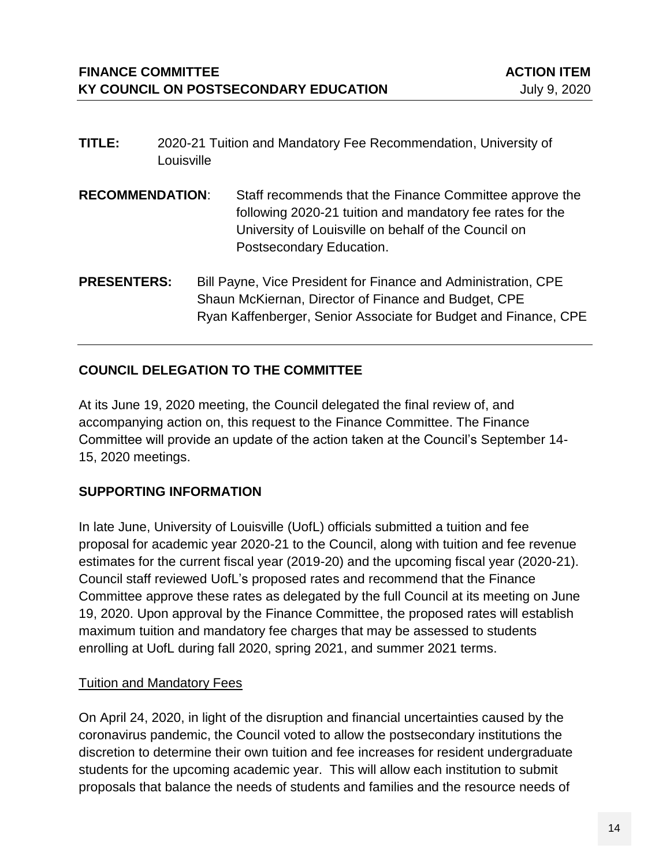- **TITLE:** 2020-21 Tuition and Mandatory Fee Recommendation, University of Louisville
- **RECOMMENDATION**: Staff recommends that the Finance Committee approve the following 2020-21 tuition and mandatory fee rates for the University of Louisville on behalf of the Council on Postsecondary Education.
- **PRESENTERS:** Bill Payne, Vice President for Finance and Administration, CPE Shaun McKiernan, Director of Finance and Budget, CPE Ryan Kaffenberger, Senior Associate for Budget and Finance, CPE

### **COUNCIL DELEGATION TO THE COMMITTEE**

At its June 19, 2020 meeting, the Council delegated the final review of, and accompanying action on, this request to the Finance Committee. The Finance Committee will provide an update of the action taken at the Council's September 14- 15, 2020 meetings.

#### **SUPPORTING INFORMATION**

In late June, University of Louisville (UofL) officials submitted a tuition and fee proposal for academic year 2020-21 to the Council, along with tuition and fee revenue estimates for the current fiscal year (2019-20) and the upcoming fiscal year (2020-21). Council staff reviewed UofL's proposed rates and recommend that the Finance Committee approve these rates as delegated by the full Council at its meeting on June 19, 2020. Upon approval by the Finance Committee, the proposed rates will establish maximum tuition and mandatory fee charges that may be assessed to students enrolling at UofL during fall 2020, spring 2021, and summer 2021 terms.

#### **Tuition and Mandatory Fees**

On April 24, 2020, in light of the disruption and financial uncertainties caused by the coronavirus pandemic, the Council voted to allow the postsecondary institutions the discretion to determine their own tuition and fee increases for resident undergraduate students for the upcoming academic year. This will allow each institution to submit proposals that balance the needs of students and families and the resource needs of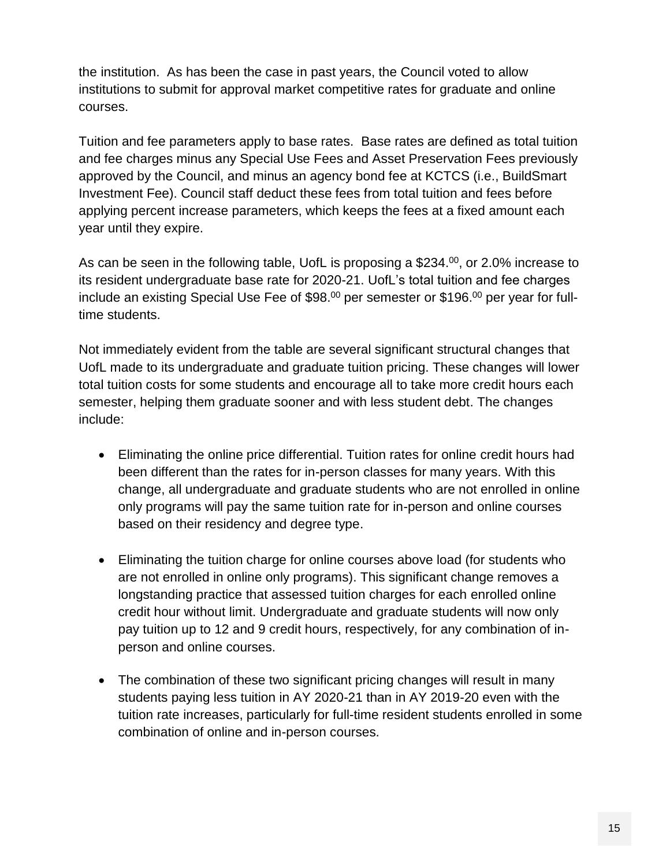the institution. As has been the case in past years, the Council voted to allow institutions to submit for approval market competitive rates for graduate and online courses.

Tuition and fee parameters apply to base rates. Base rates are defined as total tuition and fee charges minus any Special Use Fees and Asset Preservation Fees previously approved by the Council, and minus an agency bond fee at KCTCS (i.e., BuildSmart Investment Fee). Council staff deduct these fees from total tuition and fees before applying percent increase parameters, which keeps the fees at a fixed amount each year until they expire.

As can be seen in the following table, UofL is proposing a \$234.<sup>00</sup>, or 2.0% increase to its resident undergraduate base rate for 2020-21. UofL's total tuition and fee charges include an existing Special Use Fee of \$98. $^{00}$  per semester or \$196. $^{00}$  per year for fulltime students.

Not immediately evident from the table are several significant structural changes that UofL made to its undergraduate and graduate tuition pricing. These changes will lower total tuition costs for some students and encourage all to take more credit hours each semester, helping them graduate sooner and with less student debt. The changes include:

- Eliminating the online price differential. Tuition rates for online credit hours had been different than the rates for in-person classes for many years. With this change, all undergraduate and graduate students who are not enrolled in online only programs will pay the same tuition rate for in-person and online courses based on their residency and degree type.
- Eliminating the tuition charge for online courses above load (for students who are not enrolled in online only programs). This significant change removes a longstanding practice that assessed tuition charges for each enrolled online credit hour without limit. Undergraduate and graduate students will now only pay tuition up to 12 and 9 credit hours, respectively, for any combination of inperson and online courses.
- The combination of these two significant pricing changes will result in many students paying less tuition in AY 2020-21 than in AY 2019-20 even with the tuition rate increases, particularly for full-time resident students enrolled in some combination of online and in-person courses.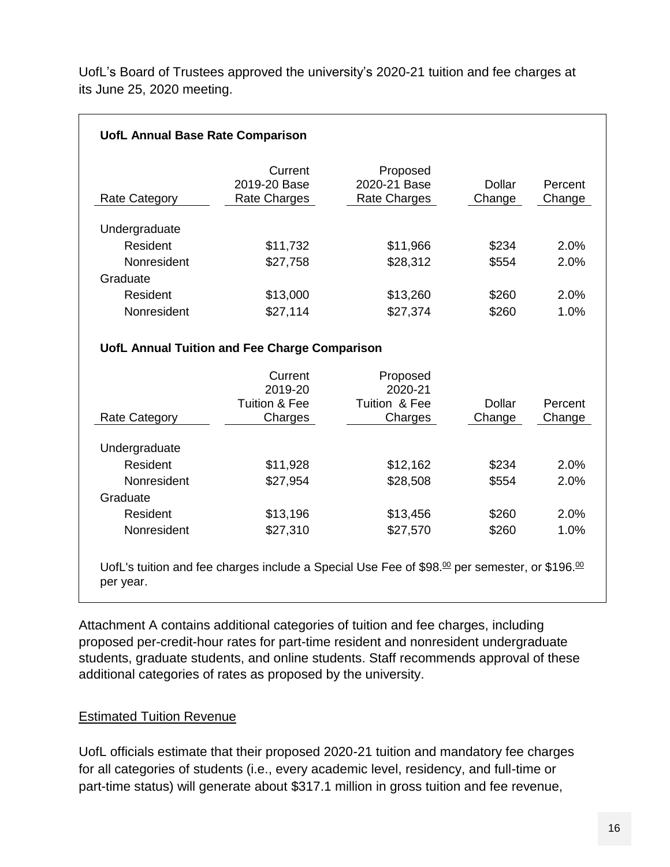UofL's Board of Trustees approved the university's 2020-21 tuition and fee charges at its June 25, 2020 meeting.

| Rate Category                                        | Current<br>2019-20 Base<br>Rate Charges                              | Proposed<br>2020-21 Base<br>Rate Charges | Dollar<br>Change | Percent<br>Change                         |
|------------------------------------------------------|----------------------------------------------------------------------|------------------------------------------|------------------|-------------------------------------------|
| Undergraduate                                        |                                                                      |                                          |                  |                                           |
| Resident                                             | \$11,732                                                             | \$11,966                                 | \$234            | 2.0%                                      |
| Nonresident                                          | \$27,758                                                             | \$28,312                                 | \$554            | 2.0%                                      |
| Graduate                                             |                                                                      |                                          |                  |                                           |
|                                                      | \$13,000                                                             | \$13,260                                 | \$260            | 2.0%                                      |
| Resident                                             |                                                                      |                                          |                  |                                           |
| Nonresident                                          | \$27,114<br>UofL Annual Tuition and Fee Charge Comparison<br>Current | \$27,374<br>Proposed                     | \$260            |                                           |
|                                                      | 2019-20<br><b>Tuition &amp; Fee</b>                                  | 2020-21<br>Tuition & Fee                 | <b>Dollar</b>    |                                           |
|                                                      | Charges                                                              | Charges                                  | Change           |                                           |
|                                                      |                                                                      |                                          |                  |                                           |
| Resident                                             | \$11,928                                                             | \$12,162                                 | \$234            |                                           |
| <b>Rate Category</b><br>Undergraduate<br>Nonresident | \$27,954                                                             | \$28,508                                 | \$554            | 1.0%<br>Percent<br>Change<br>2.0%<br>2.0% |
| Graduate                                             |                                                                      |                                          |                  |                                           |
| Resident                                             | \$13,196                                                             | \$13,456                                 | \$260            | 2.0%                                      |

Attachment A contains additional categories of tuition and fee charges, including proposed per-credit-hour rates for part-time resident and nonresident undergraduate students, graduate students, and online students. Staff recommends approval of these additional categories of rates as proposed by the university.

#### **Estimated Tuition Revenue**

UofL officials estimate that their proposed 2020-21 tuition and mandatory fee charges for all categories of students (i.e., every academic level, residency, and full-time or part-time status) will generate about \$317.1 million in gross tuition and fee revenue,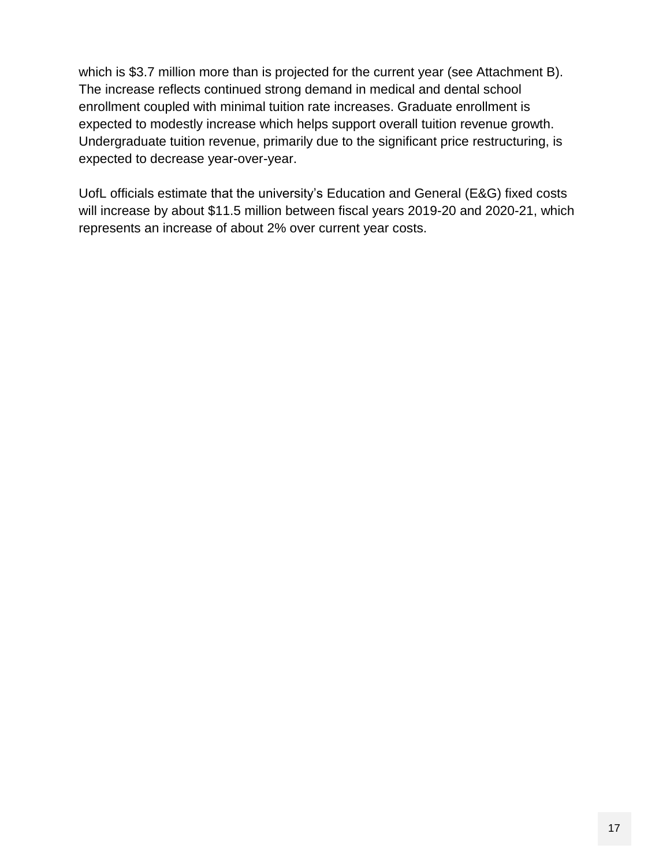which is \$3.7 million more than is projected for the current year (see Attachment B). The increase reflects continued strong demand in medical and dental school enrollment coupled with minimal tuition rate increases. Graduate enrollment is expected to modestly increase which helps support overall tuition revenue growth. Undergraduate tuition revenue, primarily due to the significant price restructuring, is expected to decrease year-over-year.

UofL officials estimate that the university's Education and General (E&G) fixed costs will increase by about \$11.5 million between fiscal years 2019-20 and 2020-21, which represents an increase of about 2% over current year costs.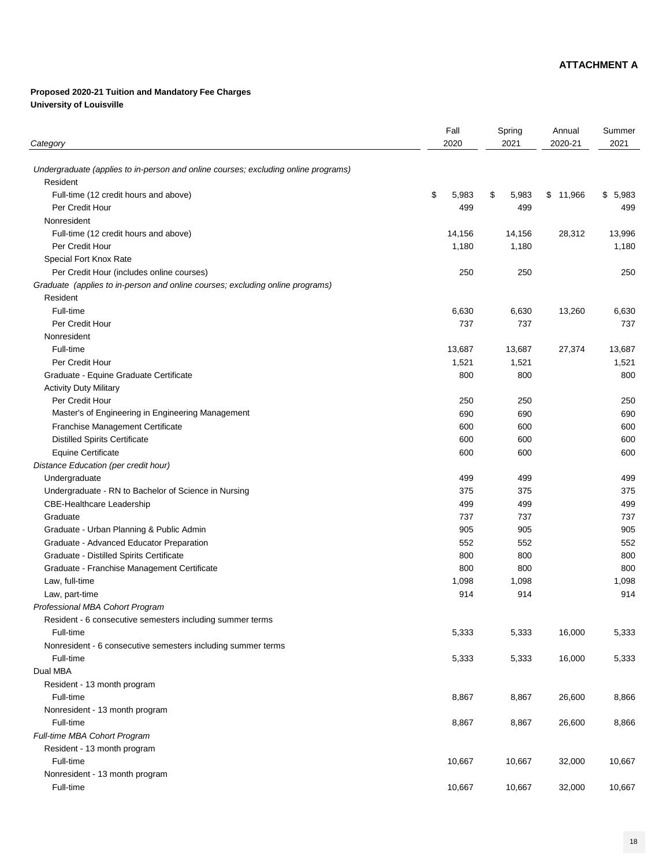# **Proposed 2020-21 Tuition and Mandatory Fee Charges University of Louisville**

| Category                                                                           | Fall<br>2020 | Spring<br>2021          | Annual<br>2020-21 | Summer<br>2021 |
|------------------------------------------------------------------------------------|--------------|-------------------------|-------------------|----------------|
| Undergraduate (applies to in-person and online courses; excluding online programs) |              |                         |                   |                |
| Resident                                                                           |              |                         |                   |                |
| Full-time (12 credit hours and above)                                              | \$<br>5,983  | $\mathfrak{F}$<br>5,983 | \$11,966          | \$5,983        |
| Per Credit Hour                                                                    | 499          | 499                     |                   | 499            |
| Nonresident                                                                        |              |                         |                   |                |
| Full-time (12 credit hours and above)                                              | 14,156       | 14,156                  | 28,312            | 13,996         |
| Per Credit Hour                                                                    | 1,180        | 1,180                   |                   | 1,180          |
| <b>Special Fort Knox Rate</b>                                                      |              |                         |                   |                |
| Per Credit Hour (includes online courses)                                          | 250          | 250                     |                   | 250            |
| Graduate (applies to in-person and online courses; excluding online programs)      |              |                         |                   |                |
| Resident                                                                           |              |                         |                   |                |
| Full-time                                                                          | 6,630        | 6,630                   | 13,260            | 6,630          |
| Per Credit Hour                                                                    | 737          | 737                     |                   | 737            |
| Nonresident                                                                        |              |                         |                   |                |
| Full-time                                                                          | 13,687       | 13,687                  | 27,374            | 13,687         |
| Per Credit Hour                                                                    | 1,521        | 1,521                   |                   | 1,521          |
| Graduate - Equine Graduate Certificate                                             | 800          | 800                     |                   | 800            |
| <b>Activity Duty Military</b>                                                      |              |                         |                   |                |
| Per Credit Hour                                                                    | 250          | 250                     |                   | 250            |
| Master's of Engineering in Engineering Management                                  | 690          | 690                     |                   | 690            |
| <b>Franchise Management Certificate</b>                                            | 600          | 600                     |                   | 600            |
| <b>Distilled Spirits Certificate</b>                                               | 600          | 600                     |                   | 600            |
| <b>Equine Certificate</b>                                                          | 600          | 600                     |                   | 600            |
| Distance Education (per credit hour)                                               |              |                         |                   |                |
| Undergraduate                                                                      | 499          | 499                     |                   | 499            |
| Undergraduate - RN to Bachelor of Science in Nursing                               | 375          | 375                     |                   | 375            |
| <b>CBE-Healthcare Leadership</b>                                                   | 499          | 499                     |                   | 499            |
| Graduate                                                                           | 737          | 737                     |                   | 737            |
| Graduate - Urban Planning & Public Admin                                           | 905          | 905                     |                   | 905            |
| <b>Graduate - Advanced Educator Preparation</b>                                    | 552          | 552                     |                   | 552            |
| <b>Graduate - Distilled Spirits Certificate</b>                                    | 800          | 800                     |                   | 800            |
| Graduate - Franchise Management Certificate                                        | 800          | 800                     |                   | 800            |
| Law, full-time                                                                     | 1,098        | 1,098                   |                   | 1,098          |
| Law, part-time                                                                     | 914          | 914                     |                   | 914            |
| <b>Professional MBA Cohort Program</b>                                             |              |                         |                   |                |
| Resident - 6 consecutive semesters including summer terms                          |              |                         |                   |                |

Full-time 5,333 5,333 16,000 5,333

| <u>NOMESIGEME: 6 CONSECUTIVE SEMESTEIS INCIDIUM IN SUMMER TEMIS</u> |        |        |        |        |
|---------------------------------------------------------------------|--------|--------|--------|--------|
| Full-time                                                           | 5,333  | 5,333  | 16,000 | 5,333  |
| Dual MBA                                                            |        |        |        |        |
| Resident - 13 month program                                         |        |        |        |        |
| Full-time                                                           | 8,867  | 8,867  | 26,600 | 8,866  |
| Nonresident - 13 month program                                      |        |        |        |        |
| Full-time                                                           | 8,867  | 8,867  | 26,600 | 8,866  |
| <b>Full-time MBA Cohort Program</b>                                 |        |        |        |        |
| Resident - 13 month program                                         |        |        |        |        |
| Full-time                                                           | 10,667 | 10,667 | 32,000 | 10,667 |
| Nonresident - 13 month program                                      |        |        |        |        |
| Full-time                                                           | 10,667 | 10,667 | 32,000 | 10,667 |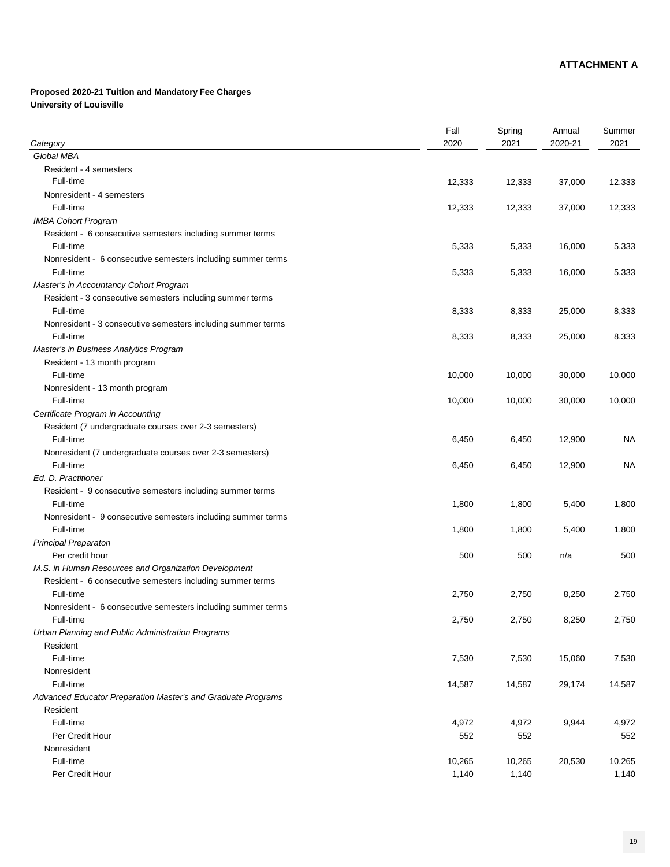## **Proposed 2020-21 Tuition and Mandatory Fee Charges University of Louisville**

| Category                                                                  | Fall<br>2020 | Spring<br>2021 | Annual<br>2020-21 | Summer<br>2021 |
|---------------------------------------------------------------------------|--------------|----------------|-------------------|----------------|
| Global MBA                                                                |              |                |                   |                |
| <b>Resident - 4 semesters</b>                                             |              |                |                   |                |
| Full-time                                                                 | 12,333       | 12,333         | 37,000            | 12,333         |
| Nonresident - 4 semesters                                                 |              |                |                   |                |
| Full-time                                                                 | 12,333       | 12,333         | 37,000            | 12,333         |
| <b>IMBA Cohort Program</b>                                                |              |                |                   |                |
| Resident - 6 consecutive semesters including summer terms                 |              |                |                   |                |
| Full-time                                                                 | 5,333        | 5,333          | 16,000            | 5,333          |
|                                                                           |              |                |                   |                |
| Nonresident - 6 consecutive semesters including summer terms<br>Full-time | 5,333        | 5,333          | 16,000            | 5,333          |
| Master's in Accountancy Cohort Program                                    |              |                |                   |                |
| Resident - 3 consecutive semesters including summer terms                 |              |                |                   |                |
| Full-time                                                                 |              |                |                   |                |
|                                                                           | 8,333        | 8,333          | 25,000            | 8,333          |
| Nonresident - 3 consecutive semesters including summer terms              |              |                |                   |                |
| Full-time                                                                 | 8,333        | 8,333          | 25,000            | 8,333          |
| <b>Master's in Business Analytics Program</b>                             |              |                |                   |                |
| Resident - 13 month program                                               |              |                |                   |                |
| Full-time                                                                 | 10,000       | 10,000         | 30,000            | 10,000         |
| Nonresident - 13 month program                                            |              |                |                   |                |
| Full-time                                                                 | 10,000       | 10,000         | 30,000            | 10,000         |
| Certificate Program in Accounting                                         |              |                |                   |                |
| Resident (7 undergraduate courses over 2-3 semesters)                     |              |                |                   |                |
| Full-time                                                                 | 6,450        | 6,450          | 12,900            | <b>NA</b>      |
| Nonresident (7 undergraduate courses over 2-3 semesters)                  |              |                |                   |                |
| Full-time                                                                 | 6,450        | 6,450          | 12,900            | <b>NA</b>      |
| Ed. D. Practitioner                                                       |              |                |                   |                |
| Resident - 9 consecutive semesters including summer terms                 |              |                |                   |                |
| Full-time                                                                 | 1,800        | 1,800          | 5,400             | 1,800          |
| Nonresident - 9 consecutive semesters including summer terms              |              |                |                   |                |
| Full-time                                                                 | 1,800        | 1,800          | 5,400             | 1,800          |
| <b>Principal Preparaton</b>                                               |              |                |                   |                |
| Per credit hour                                                           | 500          | 500            | n/a               | 500            |
| M.S. in Human Resources and Organization Development                      |              |                |                   |                |
| Resident - 6 consecutive semesters including summer terms                 |              |                |                   |                |
| Full-time                                                                 | 2,750        | 2,750          | 8,250             | 2,750          |
| Nonresident - 6 consecutive semesters including summer terms              |              |                |                   |                |
| Full-time                                                                 | 2,750        | 2,750          | 8,250             | 2,750          |
| Urban Planning and Public Administration Programs                         |              |                |                   |                |
| Resident                                                                  |              |                |                   |                |
| Full-time                                                                 | 7,530        | 7,530          | 15,060            | 7,530          |
| Nonresident                                                               |              |                |                   |                |
| Full-time                                                                 | 14,587       | 14,587         | 29,174            | 14,587         |
| Advanced Educator Preparation Master's and Graduate Programs              |              |                |                   |                |
| Resident                                                                  |              |                |                   |                |
| Full-time                                                                 | 4,972        | 4,972          | 9,944             | 4,972          |
| Per Credit Hour                                                           | 552          | 552            |                   | 552            |
| Nonresident                                                               |              |                |                   |                |
| Full-time                                                                 | 10,265       | 10,265         | 20,530            | 10,265         |
| Per Credit Hour                                                           | 1,140        | 1,140          |                   | 1,140          |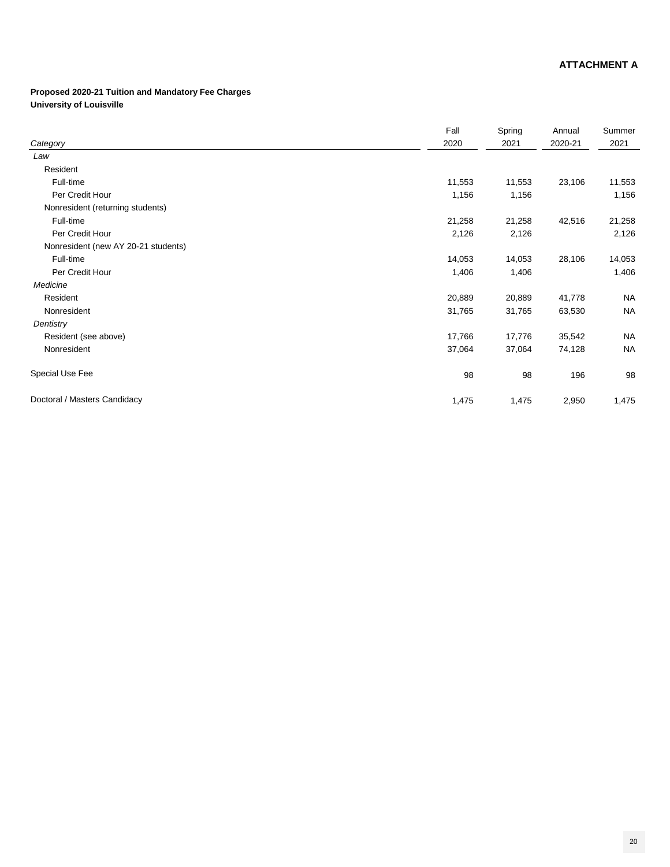## **Proposed 2020-21 Tuition and Mandatory Fee Charges University of Louisville**

|                                     | Fall   | Spring | Annual  | Summer    |
|-------------------------------------|--------|--------|---------|-----------|
| Category                            | 2020   | 2021   | 2020-21 | 2021      |
| Law                                 |        |        |         |           |
| Resident                            |        |        |         |           |
| Full-time                           | 11,553 | 11,553 | 23,106  | 11,553    |
| Per Credit Hour                     | 1,156  | 1,156  |         | 1,156     |
| Nonresident (returning students)    |        |        |         |           |
| Full-time                           | 21,258 | 21,258 | 42,516  | 21,258    |
| Per Credit Hour                     | 2,126  | 2,126  |         | 2,126     |
| Nonresident (new AY 20-21 students) |        |        |         |           |
| Full-time                           | 14,053 | 14,053 | 28,106  | 14,053    |
| Per Credit Hour                     | 1,406  | 1,406  |         | 1,406     |
| Medicine                            |        |        |         |           |
| Resident                            | 20,889 | 20,889 | 41,778  | <b>NA</b> |
| Nonresident                         | 31,765 | 31,765 | 63,530  | <b>NA</b> |
| Dentistry                           |        |        |         |           |
| Resident (see above)                | 17,766 | 17,776 | 35,542  | <b>NA</b> |
| Nonresident                         | 37,064 | 37,064 | 74,128  | <b>NA</b> |
| <b>Special Use Fee</b>              | 98     | 98     | 196     | 98        |
| Doctoral / Masters Candidacy        | 1,475  | 1,475  | 2,950   | 1,475     |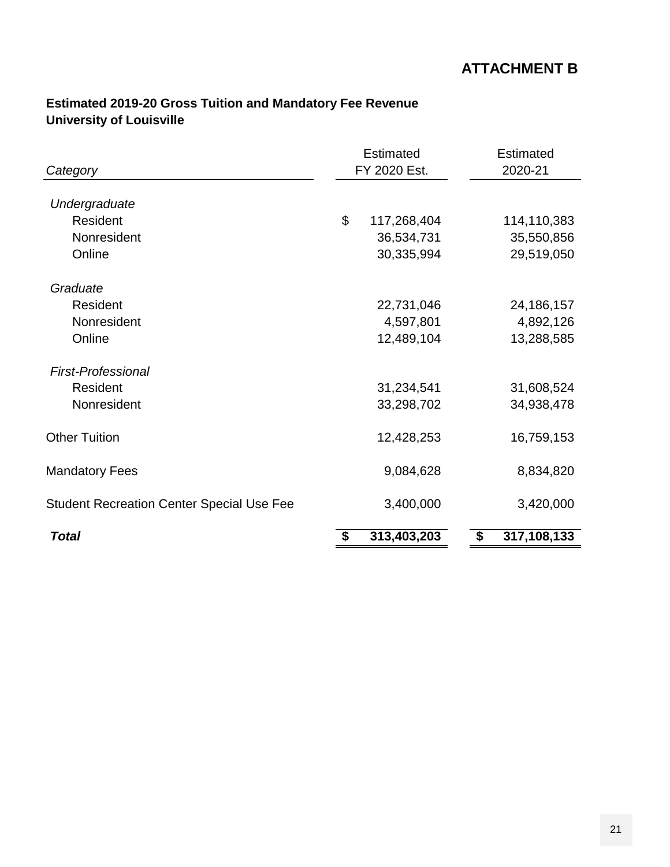### **Estimated 2019-20 Gross Tuition and Mandatory Fee Revenue University of Louisville**

| Category                                         | <b>Estimated</b><br>FY 2020 Est. | <b>Estimated</b><br>2020-21 |
|--------------------------------------------------|----------------------------------|-----------------------------|
| Undergraduate                                    |                                  |                             |
| Resident                                         | \$<br>117,268,404                | 114,110,383                 |
| Nonresident                                      | 36,534,731                       | 35,550,856                  |
| Online                                           | 30,335,994                       | 29,519,050                  |
| Graduate                                         |                                  |                             |
| Resident                                         | 22,731,046                       | 24,186,157                  |
| Nonresident                                      | 4,597,801                        | 4,892,126                   |
| Online                                           | 12,489,104                       | 13,288,585                  |
| <b>First-Professional</b>                        |                                  |                             |
| Resident                                         | 31,234,541                       | 31,608,524                  |
| Nonresident                                      | 33,298,702                       | 34,938,478                  |
| <b>Other Tuition</b>                             | 12,428,253                       | 16,759,153                  |
| <b>Mandatory Fees</b>                            | 9,084,628                        | 8,834,820                   |
| <b>Student Recreation Center Special Use Fee</b> | 3,400,000                        | 3,420,000                   |
| <b>Total</b>                                     | \$<br>313,403,203                | \$<br>317,108,133           |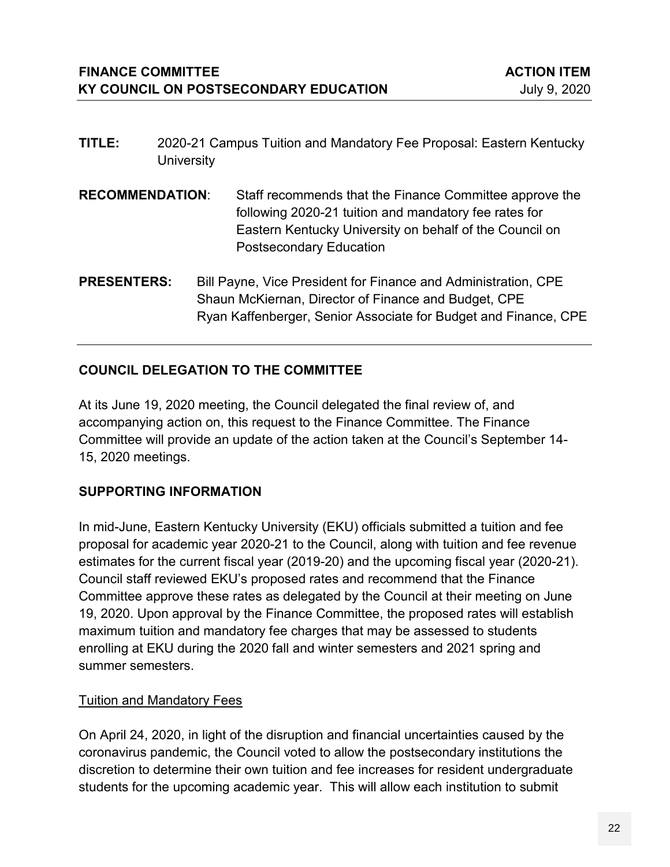- **TITLE:** 2020-21 Campus Tuition and Mandatory Fee Proposal: Eastern Kentucky **University**
- **RECOMMENDATION**: Staff recommends that the Finance Committee approve the following 2020-21 tuition and mandatory fee rates for Eastern Kentucky University on behalf of the Council on Postsecondary Education
- **PRESENTERS:** Bill Payne, Vice President for Finance and Administration, CPE Shaun McKiernan, Director of Finance and Budget, CPE Ryan Kaffenberger, Senior Associate for Budget and Finance, CPE

### **COUNCIL DELEGATION TO THE COMMITTEE**

At its June 19, 2020 meeting, the Council delegated the final review of, and accompanying action on, this request to the Finance Committee. The Finance Committee will provide an update of the action taken at the Council's September 14- 15, 2020 meetings.

#### **SUPPORTING INFORMATION**

In mid-June, Eastern Kentucky University (EKU) officials submitted a tuition and fee proposal for academic year 2020-21 to the Council, along with tuition and fee revenue estimates for the current fiscal year (2019-20) and the upcoming fiscal year (2020-21). Council staff reviewed EKU's proposed rates and recommend that the Finance Committee approve these rates as delegated by the Council at their meeting on June 19, 2020. Upon approval by the Finance Committee, the proposed rates will establish maximum tuition and mandatory fee charges that may be assessed to students enrolling at EKU during the 2020 fall and winter semesters and 2021 spring and summer semesters.

#### Tuition and Mandatory Fees

On April 24, 2020, in light of the disruption and financial uncertainties caused by the coronavirus pandemic, the Council voted to allow the postsecondary institutions the discretion to determine their own tuition and fee increases for resident undergraduate students for the upcoming academic year. This will allow each institution to submit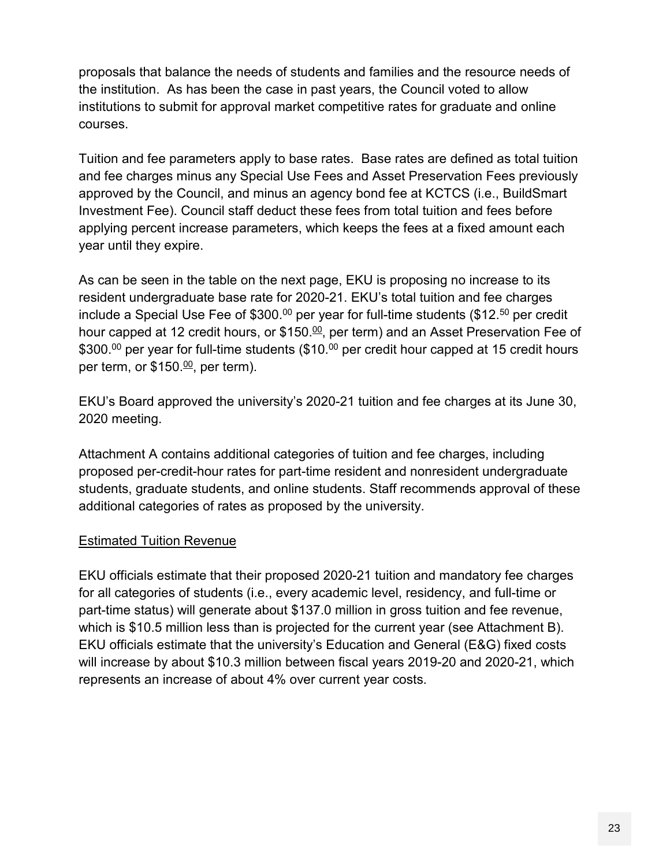proposals that balance the needs of students and families and the resource needs of the institution. As has been the case in past years, the Council voted to allow institutions to submit for approval market competitive rates for graduate and online courses.

Tuition and fee parameters apply to base rates. Base rates are defined as total tuition and fee charges minus any Special Use Fees and Asset Preservation Fees previously approved by the Council, and minus an agency bond fee at KCTCS (i.e., BuildSmart Investment Fee). Council staff deduct these fees from total tuition and fees before applying percent increase parameters, which keeps the fees at a fixed amount each year until they expire.

As can be seen in the table on the next page, EKU is proposing no increase to its resident undergraduate base rate for 2020-21. EKU's total tuition and fee charges include a Special Use Fee of \$300. $^{\textrm{00}}$  per year for full-time students (\$12. $^{\textrm{50}}$  per credit hour capped at 12 credit hours, or \$150.≌, per term) and an Asset Preservation Fee of \$300.<sup>00</sup> per year for full-time students (\$10.<sup>00</sup> per credit hour capped at 15 credit hours per term, or \$150.<u><sup>00</sup>,</u> per term).

EKU's Board approved the university's 2020-21 tuition and fee charges at its June 30, 2020 meeting.

Attachment A contains additional categories of tuition and fee charges, including proposed per-credit-hour rates for part-time resident and nonresident undergraduate students, graduate students, and online students. Staff recommends approval of these additional categories of rates as proposed by the university.

#### **Estimated Tuition Revenue**

EKU officials estimate that their proposed 2020-21 tuition and mandatory fee charges for all categories of students (i.e., every academic level, residency, and full-time or part-time status) will generate about \$137.0 million in gross tuition and fee revenue, which is \$10.5 million less than is projected for the current year (see Attachment B). EKU officials estimate that the university's Education and General (E&G) fixed costs will increase by about \$10.3 million between fiscal years 2019-20 and 2020-21, which represents an increase of about 4% over current year costs.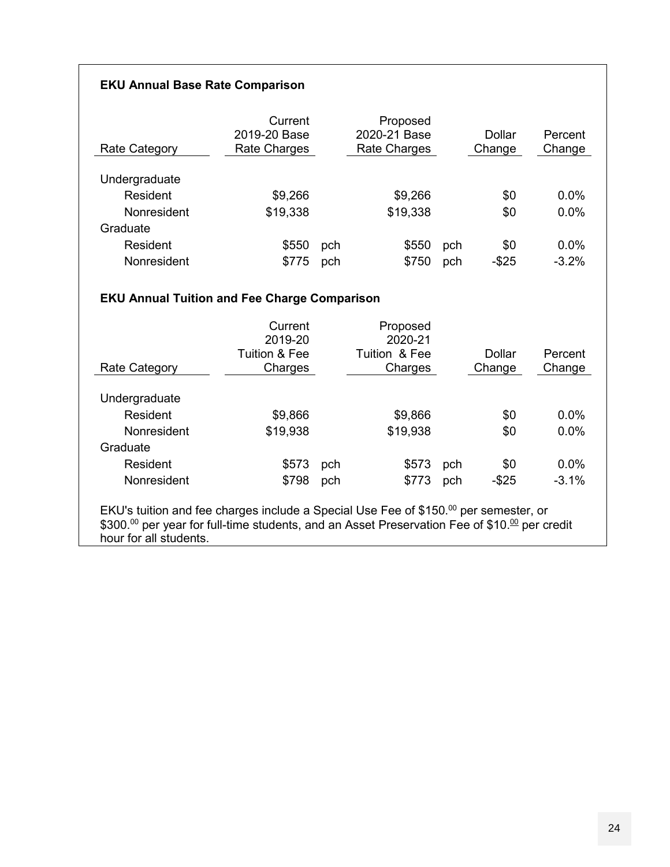#### **EKU Annual Base Rate Comparison**

| Rate Category      | Current<br>2019-20 Base<br>Rate Charges |     | Proposed<br>2020-21 Base<br>Rate Charges |     | Dollar<br>Change | Percent<br>Change |
|--------------------|-----------------------------------------|-----|------------------------------------------|-----|------------------|-------------------|
| Undergraduate      |                                         |     |                                          |     |                  |                   |
| Resident           | \$9,266                                 |     | \$9,266                                  |     | \$0              | 0.0%              |
| <b>Nonresident</b> | \$19,338                                |     | \$19,338                                 |     | \$0              | 0.0%              |
| Graduate           |                                         |     |                                          |     |                  |                   |
| Resident           | \$550                                   | pch | \$550                                    | pch | \$0              | $0.0\%$           |
| Nonresident        | \$775                                   | pch | \$750                                    | pch | $-$25$           | $-3.2%$           |

#### **EKU Annual Tuition and Fee Charge Comparison**

| Rate Category | Current<br>2019-20<br><b>Tuition &amp; Fee</b><br>Charges |     | Proposed<br>2020-21<br>Tuition & Fee<br>Charges |     | Dollar<br>Change | Percent<br>Change |
|---------------|-----------------------------------------------------------|-----|-------------------------------------------------|-----|------------------|-------------------|
| Undergraduate |                                                           |     |                                                 |     |                  |                   |
| Resident      | \$9,866                                                   |     | \$9,866                                         |     | \$0              | 0.0%              |
| Nonresident   | \$19,938                                                  |     | \$19,938                                        |     | \$0              | $0.0\%$           |
| Graduate      |                                                           |     |                                                 |     |                  |                   |
| Resident      | \$573                                                     | pch | \$573                                           | pch | \$0              | $0.0\%$           |
| Nonresident   | \$798                                                     | pch | \$773                                           | pch | $-$ \$25         | $-3.1%$           |

EKU's tuition and fee charges include a Special Use Fee of  $$150.^{\rm oo}$  per semester, or  $\$300.^{\scriptstyle 00}$  per year for full-time students, and an Asset Preservation Fee of  $\$10.^{\scriptstyle 00}$  per credit hour for all students.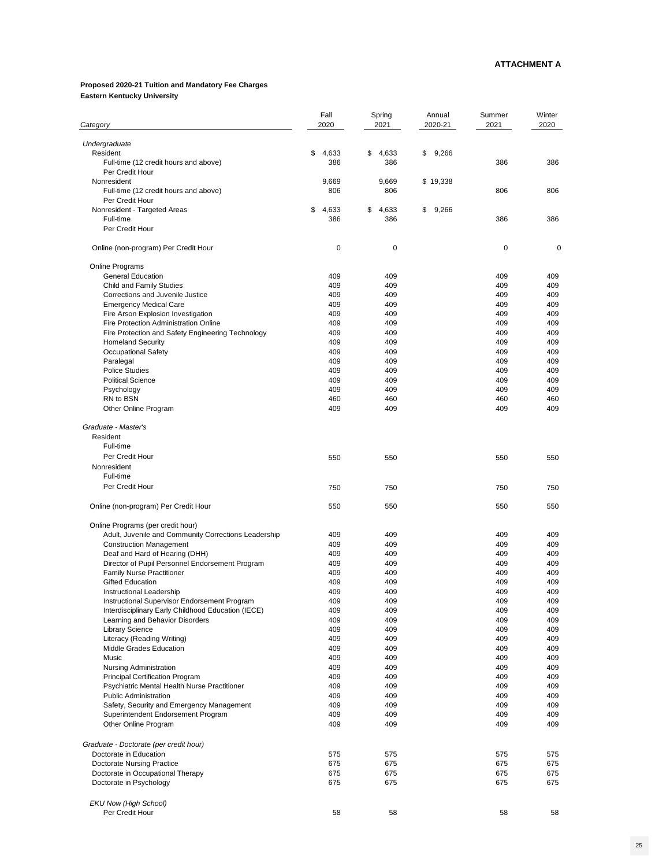# **Proposed 2020-21 Tuition and Mandatory Fee Charges Eastern Kentucky University**

| Category                                                                           | Fall<br>2020 | Spring<br>2021 | Annual<br>2020-21 | Summer<br>2021 | Winter<br>2020 |
|------------------------------------------------------------------------------------|--------------|----------------|-------------------|----------------|----------------|
| Undergraduate                                                                      |              |                |                   |                |                |
| Resident                                                                           | \$<br>4,633  | \$<br>4,633    | 9,266<br>\$       |                |                |
| Full-time (12 credit hours and above)                                              | 386          | 386            |                   | 386            | 386            |
| Per Credit Hour                                                                    |              |                |                   |                |                |
| Nonresident                                                                        | 9,669        | 9,669          | \$19,338          |                |                |
| Full-time (12 credit hours and above)<br>Per Credit Hour                           | 806          | 806            |                   | 806            | 806            |
| Nonresident - Targeted Areas                                                       | \$<br>4,633  | \$<br>4,633    | \$<br>9,266       |                |                |
| Full-time                                                                          | 386          | 386            |                   | 386            | 386            |
| Per Credit Hour                                                                    |              |                |                   |                |                |
| Online (non-program) Per Credit Hour                                               | $\mathbf 0$  | $\mathbf 0$    |                   | $\mathbf 0$    | $\mathbf 0$    |
| <b>Online Programs</b>                                                             |              |                |                   |                |                |
| <b>General Education</b>                                                           | 409          | 409            |                   | 409            | 409            |
| <b>Child and Family Studies</b>                                                    | 409          | 409            |                   | 409            | 409            |
| <b>Corrections and Juvenile Justice</b>                                            | 409          | 409            |                   | 409            | 409            |
| <b>Emergency Medical Care</b>                                                      | 409<br>409   | 409<br>409     |                   | 409<br>409     | 409<br>409     |
| Fire Arson Explosion Investigation<br><b>Fire Protection Administration Online</b> | 409          | 409            |                   | 409            | 409            |
| Fire Protection and Safety Engineering Technology                                  | 409          | 409            |                   | 409            | 409            |
| <b>Homeland Security</b>                                                           | 409          | 409            |                   | 409            | 409            |
| <b>Occupational Safety</b>                                                         | 409          | 409            |                   | 409            | 409            |
| Paralegal                                                                          | 409          | 409            |                   | 409            | 409            |
| <b>Police Studies</b>                                                              | 409          | 409            |                   | 409            | 409            |
| <b>Political Science</b>                                                           | 409          | 409            |                   | 409            | 409            |
| Psychology                                                                         | 409          | 409            |                   | 409            | 409            |
| RN to BSN<br>Other Online Program                                                  | 460<br>409   | 460<br>409     |                   | 460<br>409     | 460<br>409     |
|                                                                                    |              |                |                   |                |                |
| Graduate - Master's<br>Resident                                                    |              |                |                   |                |                |
| Full-time                                                                          |              |                |                   |                |                |
| Per Credit Hour                                                                    | 550          | 550            |                   | 550            | 550            |
| Nonresident                                                                        |              |                |                   |                |                |
| Full-time                                                                          |              |                |                   |                |                |
| Per Credit Hour                                                                    | 750          | 750            |                   | 750            | 750            |
| Online (non-program) Per Credit Hour                                               | 550          | 550            |                   | 550            | 550            |
| Online Programs (per credit hour)                                                  |              |                |                   |                |                |
| Adult, Juvenile and Community Corrections Leadership                               | 409          | 409            |                   | 409            | 409            |
| <b>Construction Management</b>                                                     | 409          | 409            |                   | 409            | 409            |
| Deaf and Hard of Hearing (DHH)                                                     | 409          | 409            |                   | 409            | 409            |
| Director of Pupil Personnel Endorsement Program                                    | 409          | 409            |                   | 409            | 409            |
| <b>Family Nurse Practitioner</b>                                                   | 409          | 409            |                   | 409            | 409            |
| <b>Gifted Education</b>                                                            | 409          | 409            |                   | 409            | 409            |
| <b>Instructional Leadership</b>                                                    | 409          | 409            |                   | 409            | 409            |
| Instructional Supervisor Endorsement Program                                       | 409          | 409            |                   | 409            | 409            |
| Interdisciplinary Early Childhood Education (IECE)                                 | 409          | 409            |                   | 409            | 409            |
| Learning and Behavior Disorders                                                    | 409<br>409   | 409<br>409     |                   | 409            | 409            |
| <b>Library Science</b><br>Literacy (Reading Writing)                               | 409          | 409            |                   | 409<br>409     | 409<br>409     |
| <b>Middle Grades Education</b>                                                     | 409          | 409            |                   | 409            | 409            |
| <b>Music</b>                                                                       | 409          | 409            |                   | 409            | 409            |
| <b>Nursing Administration</b>                                                      | 409          | 409            |                   | 409            | 409            |
| <b>Principal Certification Program</b>                                             | 409          | 409            |                   | 409            | 409            |
| Psychiatric Mental Health Nurse Practitioner                                       | 409          | 409            |                   | 409            | 409            |
| <b>Public Administration</b>                                                       | 409          | 409            |                   | 409            | 409            |
| Safety, Security and Emergency Management                                          | 409          | 409            |                   | 409            | 409            |
| Superintendent Endorsement Program<br>Other Online Program                         | 409<br>409   | 409<br>409     |                   | 409<br>409     | 409<br>409     |
|                                                                                    |              |                |                   |                |                |
| Graduate - Doctorate (per credit hour)<br>Doctorate in Education                   | 575          | 575            |                   | 575            | 575            |
| <b>Doctorate Nursing Practice</b>                                                  | 675          | 675            |                   | 675            | 675            |
| Doctorate in Occupational Therapy                                                  | 675          | 675            |                   | 675            | 675            |
| Doctorate in Psychology                                                            | 675          | 675            |                   | 675            | 675            |
| <b>EKU Now (High School)</b>                                                       |              |                |                   |                |                |
| Per Credit Hour                                                                    | 58           | 58             |                   | 58             | 58             |